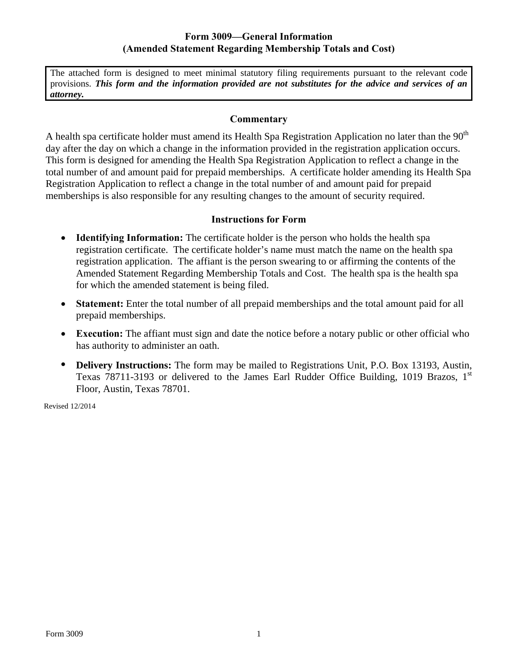## **Form 3009—General Information (Amended Statement Regarding Membership Totals and Cost)**

The attached form is designed to meet minimal statutory filing requirements pursuant to the relevant code provisions. *This form and the information provided are not substitutes for the advice and services of an attorney.* 

## **Commentary**

A health spa certificate holder must amend its Health Spa Registration Application no later than the 90<sup>th</sup> day after the day on which a change in the information provided in the registration application occurs. This form is designed for amending the Health Spa Registration Application to reflect a change in the total number of and amount paid for prepaid memberships. A certificate holder amending its Health Spa Registration Application to reflect a change in the total number of and amount paid for prepaid memberships is also responsible for any resulting changes to the amount of security required.

## **Instructions for Form**

- **Identifying Information:** The certificate holder is the person who holds the health spa registration certificate. The certificate holder's name must match the name on the health spa registration application. The affiant is the person swearing to or affirming the contents of the Amended Statement Regarding Membership Totals and Cost. The health spa is the health spa for which the amended statement is being filed.
- **Statement:** Enter the total number of all prepaid memberships and the total amount paid for all prepaid memberships.
- **Execution:** The affiant must sign and date the notice before a notary public or other official who has authority to administer an oath.
- **Delivery Instructions:** The form may be mailed to Registrations Unit, P.O. Box 13193, Austin, Texas 78711-3193 or delivered to the James Earl Rudder Office Building, 1019 Brazos,  $1<sup>st</sup>$ Floor, Austin, Texas 78701.

Revised 12/2014